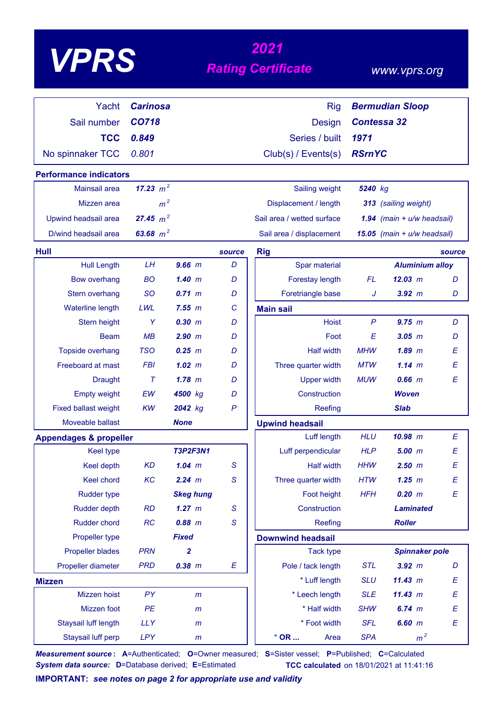| VPP |
|-----|
|-----|

# *<sup>2021</sup> VPRS Rating Certificate*

### *www.vprs.org*

| Yacht                             | <b>Carinosa</b> |                  |              | <b>Rig</b>                 |               | <b>Bermudian Sloop</b>       |        |
|-----------------------------------|-----------------|------------------|--------------|----------------------------|---------------|------------------------------|--------|
| Sail number                       | CO718           |                  |              | <b>Design</b>              |               | <b>Contessa 32</b>           |        |
| <b>TCC</b>                        | 0.849           |                  |              | Series / built             | 1971          |                              |        |
| No spinnaker TCC                  | 0.801           |                  |              | Club(s) / Events(s)        | <b>RSrnYC</b> |                              |        |
| <b>Performance indicators</b>     |                 |                  |              |                            |               |                              |        |
| <b>Mainsail area</b>              | 17.23 $m^2$     |                  |              | Sailing weight             | 5240 kg       |                              |        |
| Mizzen area                       | m <sup>2</sup>  |                  |              | Displacement / length      |               | 313 (sailing weight)         |        |
| Upwind headsail area              | 27.45 $m^2$     |                  |              | Sail area / wetted surface |               | 1.94 $(main + u/w headsail)$ |        |
| D/wind headsail area              | 63.68 $m^2$     |                  |              | Sail area / displacement   |               | 15.05 (main + u/w headsail)  |        |
| Hull                              |                 |                  | source       | <b>Rig</b>                 |               |                              | source |
| <b>Hull Length</b>                | LH              | $9.66$ m         | D            | Spar material              |               | <b>Aluminium alloy</b>       |        |
| <b>Bow overhang</b>               | <b>BO</b>       | 1.40~m           | D            | Forestay length            | <b>FL</b>     | 12.03 m                      | D      |
| Stern overhang                    | <b>SO</b>       | $0.71 \; m$      | D            | Foretriangle base          | J             | $3.92$ $m$                   | D      |
| <b>Waterline length</b>           | LWL             | 7.55 m           | C            | <b>Main sail</b>           |               |                              |        |
| Stern height                      | Y               | 0.30 m           | D            | <b>Hoist</b>               | $\mathsf{P}$  | 9.75 m                       | D      |
| <b>Beam</b>                       | MB              | 2.90 m           | D            | Foot                       | E             | 3.05~m                       | D      |
| Topside overhang                  | <b>TSO</b>      | $0.25$ $m$       | D            | <b>Half width</b>          | <b>MHW</b>    | $1.89$ $m$                   | E      |
| Freeboard at mast                 | <b>FBI</b>      | 1.02~m           | D            | Three quarter width        | <b>MTW</b>    | $1.14 \; m$                  | E      |
| <b>Draught</b>                    | $\tau$          | $1.78$ m         | D            | <b>Upper width</b>         | <b>MUW</b>    | $0.66$ $m$                   | E      |
| <b>Empty weight</b>               | EW              | 4500 kg          | D            | Construction               |               | <b>Woven</b>                 |        |
| <b>Fixed ballast weight</b>       | <b>KW</b>       | 2042 kg          | $\mathsf{P}$ | Reefing                    |               | <b>Slab</b>                  |        |
| Moveable ballast                  |                 | <b>None</b>      |              | <b>Upwind headsail</b>     |               |                              |        |
| <b>Appendages &amp; propeller</b> |                 |                  |              | Luff length                | <b>HLU</b>    | $10.98$ m                    | Е      |
| <b>Keel type</b>                  |                 | <b>T3P2F3N1</b>  |              | Luff perpendicular         | <b>HLP</b>    | 5.00~m                       | E      |
| <b>Keel depth</b>                 | <b>KD</b>       | $1.04$ $m$       | S            | <b>Half width</b>          | <b>HHW</b>    | $2.50$ $m$                   | E      |
| Keel chord                        | KC              | 2.24 m           | S            | Three quarter width        | <b>HTW</b>    | $1.25$ $m$                   | Ε      |
| <b>Rudder type</b>                |                 | <b>Skeg hung</b> |              | Foot height                | <b>HFH</b>    | 0.20 m                       | E      |
| <b>Rudder depth</b>               | <b>RD</b>       | $1.27$ m         | S            | Construction               |               | <b>Laminated</b>             |        |
| Rudder chord                      | RC              | $0.88$ $m$       | $\mathsf S$  | Reefing                    |               | <b>Roller</b>                |        |
| Propeller type                    |                 | <b>Fixed</b>     |              | <b>Downwind headsail</b>   |               |                              |        |
| <b>Propeller blades</b>           | <b>PRN</b>      | $\mathbf{2}$     |              | <b>Tack type</b>           |               | <b>Spinnaker pole</b>        |        |
| Propeller diameter                | <b>PRD</b>      | $0.38$ $m$       | E            | Pole / tack length         | <b>STL</b>    | $3.92$ m                     | D      |
| <b>Mizzen</b>                     |                 |                  |              | * Luff length              | <b>SLU</b>    | 11.43 m                      | Е      |
| Mizzen hoist                      | PY              | m                |              | * Leech length             | <b>SLE</b>    | 11.43 m                      | Е      |
| Mizzen foot                       | PE              | $\mathsf{m}$     |              | * Half width               | <b>SHW</b>    | $6.74 \, m$                  | E      |
| Staysail luff length              | <b>LLY</b>      | $\mathsf{m}$     |              | * Foot width               | <b>SFL</b>    | $6.60$ $m$                   | Ε      |
| Staysail luff perp                | <b>LPY</b>      | $\mathsf{m}$     |              | $*$ OR<br>Area             | <b>SPA</b>    | m <sup>2</sup>               |        |

*Measurement source* **: A**=Authenticated; **O**=Owner measured; **S**=Sister vessel; **P**=Published; **C**=Calculated *System data source:* **D**=Database derived; **E**=Estimated **TCC calculated** on 18/01/2021 at 11:41:16

**IMPORTANT:** *see notes on page 2 for appropriate use and validity*